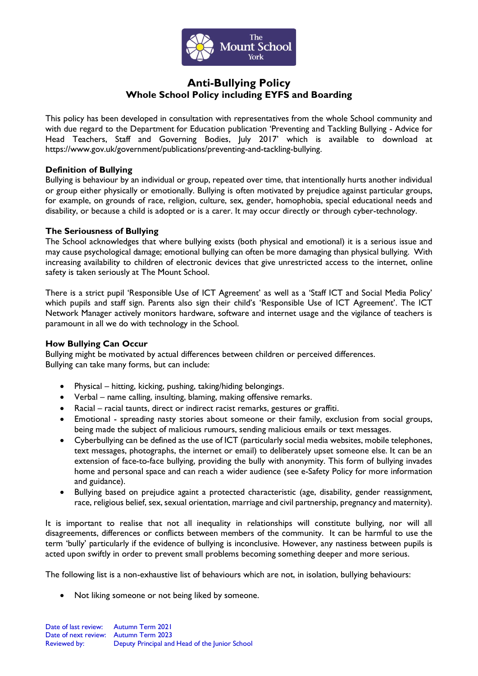

# **Anti-Bullying Policy Whole School Policy including EYFS and Boarding**

This policy has been developed in consultation with representatives from the whole School community and with due regard to the Department for Education publication 'Preventing and Tackling Bullying - Advice for Head Teachers, Staff and Governing Bodies, July 2017' which is available to download at [https://www.gov.uk/government/publications/preventing-and-tackling-bullying.](https://www.gov.uk/government/publications/preventing-and-tackling-bullying)

# **Definition of Bullying**

Bullying is behaviour by an individual or group, repeated over time, that intentionally hurts another individual or group either physically or emotionally. Bullying is often motivated by prejudice against particular groups, for example, on grounds of race, religion, culture, sex, gender, homophobia, special educational needs and disability, or because a child is adopted or is a carer. It may occur directly or through cyber-technology.

# **The Seriousness of Bullying**

The School acknowledges that where bullying exists (both physical and emotional) it is a serious issue and may cause psychological damage; emotional bullying can often be more damaging than physical bullying. With increasing availability to children of electronic devices that give unrestricted access to the internet, online safety is taken seriously at The Mount School.

There is a strict pupil 'Responsible Use of ICT Agreement' as well as a 'Staff ICT and Social Media Policy' which pupils and staff sign. Parents also sign their child's 'Responsible Use of ICT Agreement'. The ICT Network Manager actively monitors hardware, software and internet usage and the vigilance of teachers is paramount in all we do with technology in the School.

# **How Bullying Can Occur**

Bullying might be motivated by actual differences between children or perceived differences. Bullying can take many forms, but can include:

- Physical hitting, kicking, pushing, taking/hiding belongings.
- Verbal name calling, insulting, blaming, making offensive remarks.
- Racial racial taunts, direct or indirect racist remarks, gestures or graffiti.
- Emotional spreading nasty stories about someone or their family, exclusion from social groups, being made the subject of malicious rumours, sending malicious emails or text messages.
- Cyberbullying can be defined as the use of ICT (particularly social media websites, mobile telephones, text messages, photographs, the internet or email) to deliberately upset someone else. It can be an extension of face-to-face bullying, providing the bully with anonymity. This form of bullying invades home and personal space and can reach a wider audience (see e-Safety Policy for more information and guidance).
- Bullying based on prejudice againt a protected characteristic (age, disability, gender reassignment, race, religious belief, sex, sexual orientation, marriage and civil partnership, pregnancy and maternity).

It is important to realise that not all inequality in relationships will constitute bullying, nor will all disagreements, differences or conflicts between members of the community. It can be harmful to use the term 'bully' particularly if the evidence of bullying is inconclusive. However, any nastiness between pupils is acted upon swiftly in order to prevent small problems becoming something deeper and more serious.

The following list is a non-exhaustive list of behaviours which are not, in isolation, bullying behaviours:

• Not liking someone or not being liked by someone.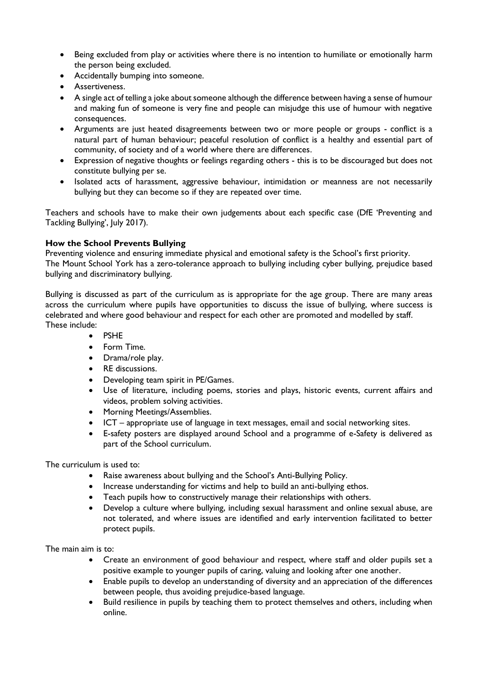- Being excluded from play or activities where there is no intention to humiliate or emotionally harm the person being excluded.
- Accidentally bumping into someone.
- Assertiveness.
- A single act of telling a joke about someone although the difference between having a sense of humour and making fun of someone is very fine and people can misjudge this use of humour with negative consequences.
- Arguments are just heated disagreements between two or more people or groups conflict is a natural part of human behaviour; peaceful resolution of conflict is a healthy and essential part of community, of society and of a world where there are differences.
- Expression of negative thoughts or feelings regarding others this is to be discouraged but does not constitute bullying per se.
- Isolated acts of harassment, aggressive behaviour, intimidation or meanness are not necessarily bullying but they can become so if they are repeated over time.

Teachers and schools have to make their own judgements about each specific case (DfE 'Preventing and Tackling Bullying', July 2017).

# **How the School Prevents Bullying**

Preventing violence and ensuring immediate physical and emotional safety is the School's first priority. The Mount School York has a zero-tolerance approach to bullying including cyber bullying, prejudice based bullying and discriminatory bullying.

Bullying is discussed as part of the curriculum as is appropriate for the age group. There are many areas across the curriculum where pupils have opportunities to discuss the issue of bullying, where success is celebrated and where good behaviour and respect for each other are promoted and modelled by staff. These include:

- PSHE
- Form Time.
- Drama/role play.
- RE discussions.
- Developing team spirit in PE/Games.
- Use of literature, including poems, stories and plays, historic events, current affairs and videos, problem solving activities.
- Morning Meetings/Assemblies.
- ICT appropriate use of language in text messages, email and social networking sites.
- E-safety posters are displayed around School and a programme of e-Safety is delivered as part of the School curriculum.

The curriculum is used to:

- Raise awareness about bullying and the School's Anti-Bullying Policy.
- Increase understanding for victims and help to build an anti-bullying ethos.
- Teach pupils how to constructively manage their relationships with others.
- Develop a culture where bullying, including sexual harassment and online sexual abuse, are not tolerated, and where issues are identified and early intervention facilitated to better protect pupils.

The main aim is to:

- Create an environment of good behaviour and respect, where staff and older pupils set a positive example to younger pupils of caring, valuing and looking after one another.
- Enable pupils to develop an understanding of diversity and an appreciation of the differences between people, thus avoiding prejudice-based language.
- Build resilience in pupils by teaching them to protect themselves and others, including when online.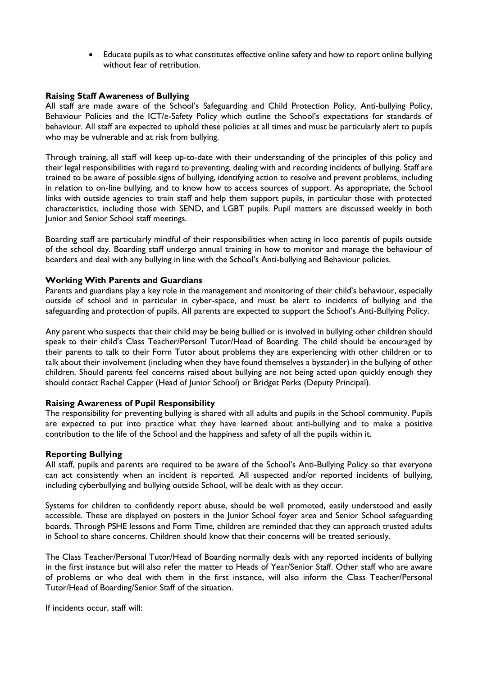• Educate pupils as to what constitutes effective online safety and how to report online bullying without fear of retribution.

# **Raising Staff Awareness of Bullying**

All staff are made aware of the School's Safeguarding and Child Protection Policy, Anti-bullying Policy, Behaviour Policies and the ICT/e-Safety Policy which outline the School's expectations for standards of behaviour. All staff are expected to uphold these policies at all times and must be particularly alert to pupils who may be vulnerable and at risk from bullying.

Through training, all staff will keep up-to-date with their understanding of the principles of this policy and their legal responsibilities with regard to preventing, dealing with and recording incidents of bullying. Staff are trained to be aware of possible signs of bullying, identifying action to resolve and prevent problems, including in relation to on-line bullying, and to know how to access sources of support. As appropriate, the School links with outside agencies to train staff and help them support pupils, in particular those with protected characteristics, including those with SEND, and LGBT pupils. Pupil matters are discussed weekly in both Junior and Senior School staff meetings.

Boarding staff are particularly mindful of their responsibilities when acting in loco parentis of pupils outside of the school day. Boarding staff undergo annual training in how to monitor and manage the behaviour of boarders and deal with any bullying in line with the School's Anti-bullying and Behaviour policies.

#### **Working With Parents and Guardians**

Parents and guardians play a key role in the management and monitoring of their child's behaviour, especially outside of school and in particular in cyber-space, and must be alert to incidents of bullying and the safeguarding and protection of pupils. All parents are expected to support the School's Anti-Bullying Policy.

Any parent who suspects that their child may be being bullied or is involved in bullying other children should speak to their child's Class Teacher/Personl Tutor/Head of Boarding. The child should be encouraged by their parents to talk to their Form Tutor about problems they are experiencing with other children or to talk about their involvement (including when they have found themselves a bystander) in the bullying of other children. Should parents feel concerns raised about bullying are not being acted upon quickly enough they should contact Rachel Capper (Head of Junior School) or Bridget Perks (Deputy Principal).

#### **Raising Awareness of Pupil Responsibility**

The responsibility for preventing bullying is shared with all adults and pupils in the School community. Pupils are expected to put into practice what they have learned about anti-bullying and to make a positive contribution to the life of the School and the happiness and safety of all the pupils within it.

#### **Reporting Bullying**

All staff, pupils and parents are required to be aware of the School's Anti-Bullying Policy so that everyone can act consistently when an incident is reported. All suspected and/or reported incidents of bullying, including cyberbullying and bullying outside School, will be dealt with as they occur.

Systems for children to confidently report abuse, should be well promoted, easily understood and easily accessible. These are displayed on posters in the Junior School foyer area and Senior School safeguarding boards. Through PSHE lessons and Form Time, children are reminded that they can approach trusted adults in School to share concerns. Children should know that their concerns will be treated seriously.

The Class Teacher/Personal Tutor/Head of Boarding normally deals with any reported incidents of bullying in the first instance but will also refer the matter to Heads of Year/Senior Staff. Other staff who are aware of problems or who deal with them in the first instance, will also inform the Class Teacher/Personal Tutor/Head of Boarding/Senior Staff of the situation.

If incidents occur, staff will: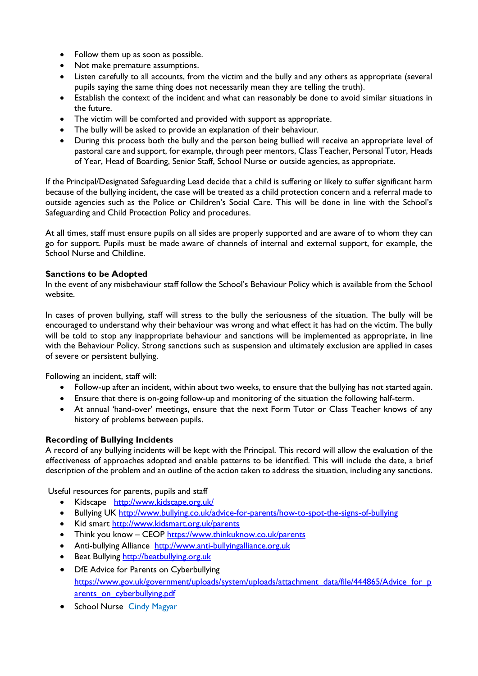- Follow them up as soon as possible.
- Not make premature assumptions.
- Listen carefully to all accounts, from the victim and the bully and any others as appropriate (several pupils saying the same thing does not necessarily mean they are telling the truth).
- Establish the context of the incident and what can reasonably be done to avoid similar situations in the future.
- The victim will be comforted and provided with support as appropriate.
- The bully will be asked to provide an explanation of their behaviour.
- During this process both the bully and the person being bullied will receive an appropriate level of pastoral care and support, for example, through peer mentors, Class Teacher, Personal Tutor, Heads of Year, Head of Boarding, Senior Staff, School Nurse or outside agencies, as appropriate.

If the Principal/Designated Safeguarding Lead decide that a child is suffering or likely to suffer significant harm because of the bullying incident, the case will be treated as a child protection concern and a referral made to outside agencies such as the Police or Children's Social Care. This will be done in line with the School's Safeguarding and Child Protection Policy and procedures.

At all times, staff must ensure pupils on all sides are properly supported and are aware of to whom they can go for support. Pupils must be made aware of channels of internal and external support, for example, the School Nurse and Childline.

# **Sanctions to be Adopted**

In the event of any misbehaviour staff follow the School's Behaviour Policy which is available from the School website.

In cases of proven bullying, staff will stress to the bully the seriousness of the situation. The bully will be encouraged to understand why their behaviour was wrong and what effect it has had on the victim. The bully will be told to stop any inappropriate behaviour and sanctions will be implemented as appropriate, in line with the Behaviour Policy. Strong sanctions such as suspension and ultimately exclusion are applied in cases of severe or persistent bullying.

Following an incident, staff will:

- Follow-up after an incident, within about two weeks, to ensure that the bullying has not started again.
- Ensure that there is on-going follow-up and monitoring of the situation the following half-term.
- At annual 'hand-over' meetings, ensure that the next Form Tutor or Class Teacher knows of any history of problems between pupils.

#### **Recording of Bullying Incidents**

A record of any bullying incidents will be kept with the Principal. This record will allow the evaluation of the effectiveness of approaches adopted and enable patterns to be identified. This will include the date, a brief description of the problem and an outline of the action taken to address the situation, including any sanctions.

Useful resources for parents, pupils and staff

- Kidscape <http://www.kidscape.org.uk/>
- Bullying UK<http://www.bullying.co.uk/advice-for-parents/how-to-spot-the-signs-of-bullying>
- Kid smart <http://www.kidsmart.org.uk/parents>
- Think you know CEOP<https://www.thinkuknow.co.uk/parents>
- Anti-bullying Alliance [http://www.anti-bullyingalliance.org.uk](http://www.anti-bullyingalliance.org.uk/)
- Beat Bullying [http://beatbullying.org.uk](http://beatbullying.org.uk/)
- DfE Advice for Parents on Cyberbullying [https://www.gov.uk/government/uploads/system/uploads/attachment\\_data/file/444865/Advice\\_for\\_p](https://www.gov.uk/government/uploads/system/uploads/attachment_data/file/444865/Advice_for_parents_on_cyberbullying.pdf) [arents\\_on\\_cyberbullying.pdf](https://www.gov.uk/government/uploads/system/uploads/attachment_data/file/444865/Advice_for_parents_on_cyberbullying.pdf)
- School Nurse Cindy Magyar